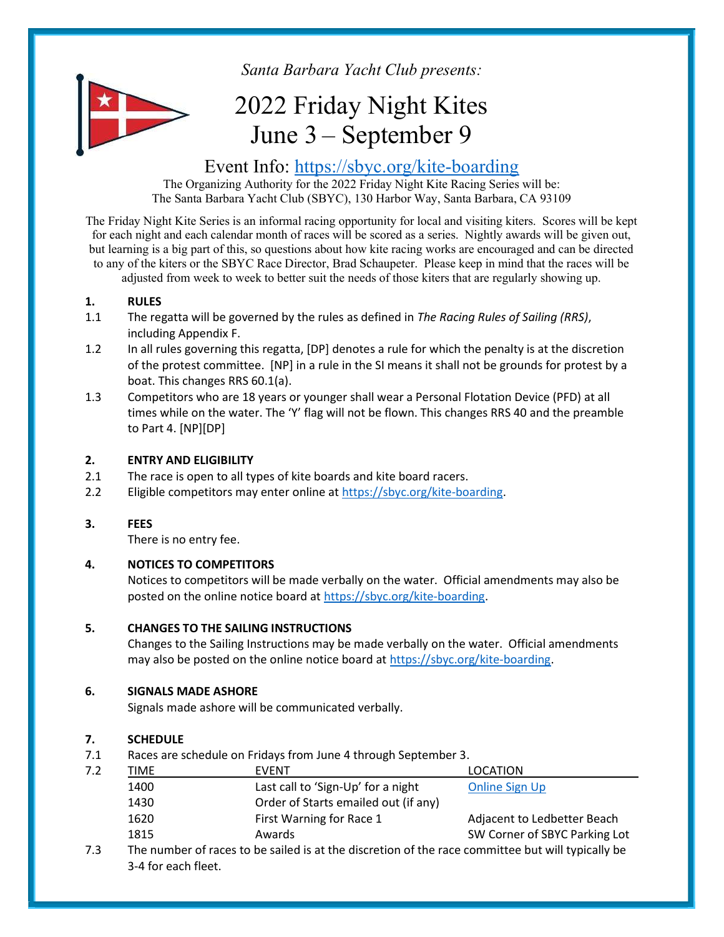

Santa Barbara Yacht Club presents:

# 2022 Friday Night Kites June 3 – September 9

## Event Info: https://sbyc.org/kite-boarding

The Organizing Authority for the 2022 Friday Night Kite Racing Series will be: The Santa Barbara Yacht Club (SBYC), 130 Harbor Way, Santa Barbara, CA 93109

The Friday Night Kite Series is an informal racing opportunity for local and visiting kiters. Scores will be kept for each night and each calendar month of races will be scored as a series. Nightly awards will be given out, but learning is a big part of this, so questions about how kite racing works are encouraged and can be directed to any of the kiters or the SBYC Race Director, Brad Schaupeter. Please keep in mind that the races will be adjusted from week to week to better suit the needs of those kiters that are regularly showing up.

## 1. RULES

- 1.1 The regatta will be governed by the rules as defined in The Racing Rules of Sailing (RRS), including Appendix F.
- 1.2 In all rules governing this regatta, [DP] denotes a rule for which the penalty is at the discretion of the protest committee. [NP] in a rule in the SI means it shall not be grounds for protest by a boat. This changes RRS 60.1(a).
- 1.3 Competitors who are 18 years or younger shall wear a Personal Flotation Device (PFD) at all times while on the water. The 'Y' flag will not be flown. This changes RRS 40 and the preamble to Part 4. [NP][DP]

## 2. ENTRY AND ELIGIBILITY

- 2.1 The race is open to all types of kite boards and kite board racers.
- 2.2 Eligible competitors may enter online at https://sbyc.org/kite-boarding.

## 3. FEES

There is no entry fee.

## 4. NOTICES TO COMPETITORS

 Notices to competitors will be made verbally on the water. Official amendments may also be posted on the online notice board at https://sbyc.org/kite-boarding.

## 5. CHANGES TO THE SAILING INSTRUCTIONS

Changes to the Sailing Instructions may be made verbally on the water. Official amendments may also be posted on the online notice board at https://sbyc.org/kite-boarding.

## 6. SIGNALS MADE ASHORE

Signals made ashore will be communicated verbally.

## 7. SCHEDULE

7.1 Races are schedule on Fridays from June 4 through September 3.

| 7.2 | TIME | <b>EVENT</b>                         | LOCATION                      |
|-----|------|--------------------------------------|-------------------------------|
|     | 1400 | Last call to 'Sign-Up' for a night   | <b>Online Sign Up</b>         |
|     | 1430 | Order of Starts emailed out (if any) |                               |
|     | 1620 | First Warning for Race 1             | Adjacent to Ledbetter Beach   |
|     | 1815 | Awards                               | SW Corner of SBYC Parking Lot |

7.3 The number of races to be sailed is at the discretion of the race committee but will typically be 3-4 for each fleet.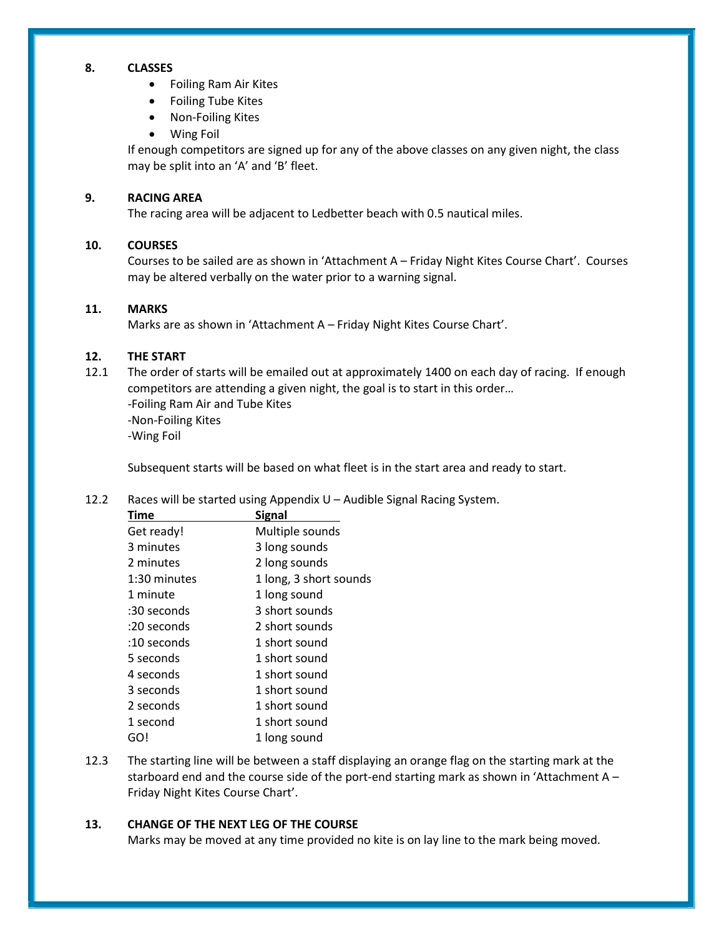### 8. CLASSES

- Foiling Ram Air Kites
- Foiling Tube Kites
- Non-Foiling Kites
- Wing Foil

 If enough competitors are signed up for any of the above classes on any given night, the class may be split into an 'A' and 'B' fleet.

#### 9. RACING AREA

The racing area will be adjacent to Ledbetter beach with 0.5 nautical miles.

#### 10. COURSES

Courses to be sailed are as shown in 'Attachment A – Friday Night Kites Course Chart'. Courses may be altered verbally on the water prior to a warning signal.

#### 11. MARKS

Marks are as shown in 'Attachment A – Friday Night Kites Course Chart'.

#### 12. THE START

12.1 The order of starts will be emailed out at approximately 1400 on each day of racing. If enough competitors are attending a given night, the goal is to start in this order… -Foiling Ram Air and Tube Kites -Non-Foiling Kites -Wing Foil

Subsequent starts will be based on what fleet is in the start area and ready to start.

#### 12.2 Races will be started using Appendix U – Audible Signal Racing System.

| Time          | <b>Signal</b>          |
|---------------|------------------------|
| Get ready!    | Multiple sounds        |
| 3 minutes     | 3 long sounds          |
| 2 minutes     | 2 long sounds          |
| 1:30 minutes  | 1 long, 3 short sounds |
| 1 minute      | 1 long sound           |
| :30 seconds   | 3 short sounds         |
| :20 seconds   | 2 short sounds         |
| $:10$ seconds | 1 short sound          |
| 5 seconds     | 1 short sound          |
| 4 seconds     | 1 short sound          |
| 3 seconds     | 1 short sound          |
| 2 seconds     | 1 short sound          |
| 1 second      | 1 short sound          |
| GO!           | 1 long sound           |

12.3 The starting line will be between a staff displaying an orange flag on the starting mark at the starboard end and the course side of the port-end starting mark as shown in 'Attachment A – Friday Night Kites Course Chart'.

#### 13. CHANGE OF THE NEXT LEG OF THE COURSE

Marks may be moved at any time provided no kite is on lay line to the mark being moved.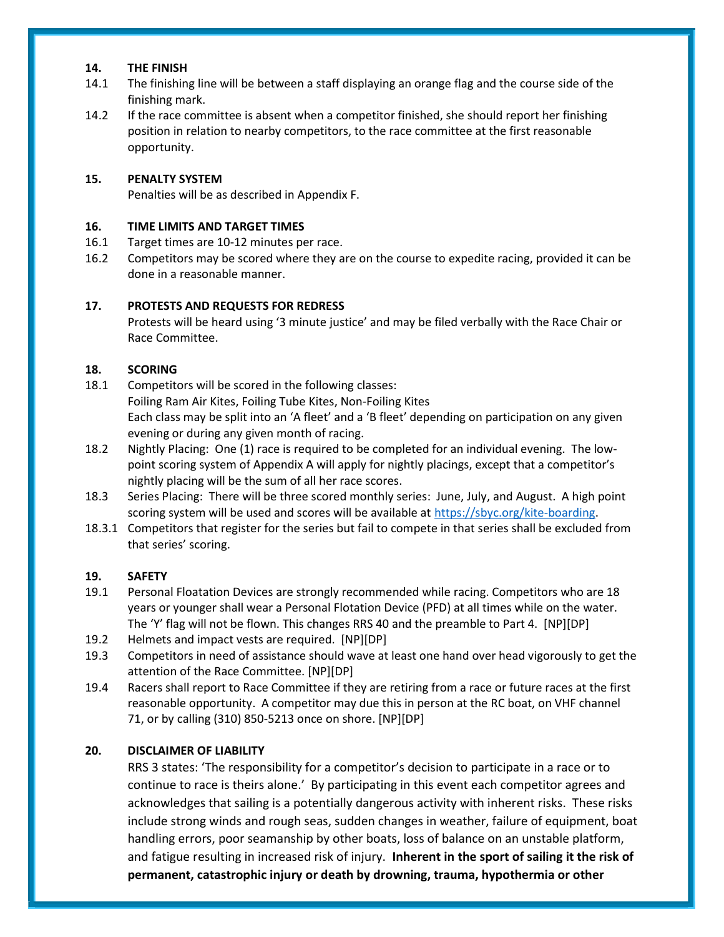#### 14. THE FINISH

- 14.1 The finishing line will be between a staff displaying an orange flag and the course side of the finishing mark.
- 14.2 If the race committee is absent when a competitor finished, she should report her finishing position in relation to nearby competitors, to the race committee at the first reasonable opportunity.

#### 15. PENALTY SYSTEM

Penalties will be as described in Appendix F.

#### 16. TIME LIMITS AND TARGET TIMES

- 16.1 Target times are 10-12 minutes per race.
- 16.2 Competitors may be scored where they are on the course to expedite racing, provided it can be done in a reasonable manner.

#### 17. PROTESTS AND REQUESTS FOR REDRESS

 Protests will be heard using '3 minute justice' and may be filed verbally with the Race Chair or Race Committee.

#### 18. SCORING

- 18.1 Competitors will be scored in the following classes: Foiling Ram Air Kites, Foiling Tube Kites, Non-Foiling Kites Each class may be split into an 'A fleet' and a 'B fleet' depending on participation on any given evening or during any given month of racing.
- 18.2 Nightly Placing: One (1) race is required to be completed for an individual evening. The lowpoint scoring system of Appendix A will apply for nightly placings, except that a competitor's nightly placing will be the sum of all her race scores.
- 18.3 Series Placing: There will be three scored monthly series: June, July, and August. A high point scoring system will be used and scores will be available at https://sbyc.org/kite-boarding.
- 18.3.1 Competitors that register for the series but fail to compete in that series shall be excluded from that series' scoring.

#### 19. SAFETY

- 19.1 Personal Floatation Devices are strongly recommended while racing. Competitors who are 18 years or younger shall wear a Personal Flotation Device (PFD) at all times while on the water. The 'Y' flag will not be flown. This changes RRS 40 and the preamble to Part 4. [NP][DP]
- 19.2 Helmets and impact vests are required. [NP][DP]
- 19.3 Competitors in need of assistance should wave at least one hand over head vigorously to get the attention of the Race Committee. [NP][DP]
- 19.4 Racers shall report to Race Committee if they are retiring from a race or future races at the first reasonable opportunity. A competitor may due this in person at the RC boat, on VHF channel 71, or by calling (310) 850-5213 once on shore. [NP][DP]

## 20. DISCLAIMER OF LIABILITY

RRS 3 states: 'The responsibility for a competitor's decision to participate in a race or to continue to race is theirs alone.' By participating in this event each competitor agrees and acknowledges that sailing is a potentially dangerous activity with inherent risks. These risks include strong winds and rough seas, sudden changes in weather, failure of equipment, boat handling errors, poor seamanship by other boats, loss of balance on an unstable platform, and fatigue resulting in increased risk of injury. Inherent in the sport of sailing it the risk of permanent, catastrophic injury or death by drowning, trauma, hypothermia or other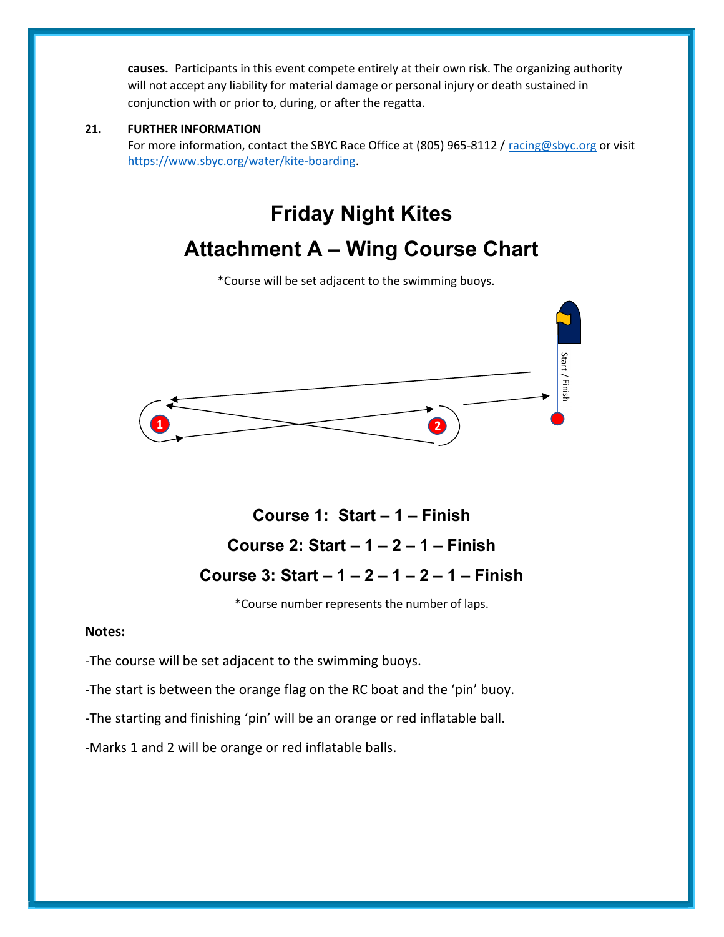causes. Participants in this event compete entirely at their own risk. The organizing authority will not accept any liability for material damage or personal injury or death sustained in conjunction with or prior to, during, or after the regatta.

#### 21. FURTHER INFORMATION

For more information, contact the SBYC Race Office at (805) 965-8112 / racing@sbyc.org or visit https://www.sbyc.org/water/kite-boarding.

## Friday Night Kites

## Attachment A – Wing Course Chart

\*Course will be set adjacent to the swimming buoys.



## Course 1: Start – 1 – Finish Course 2: Start  $-1 - 2 - 1 -$  Finish Course 3: Start  $-1 - 2 - 1 - 2 - 1 -$  Finish

\*Course number represents the number of laps.

### Notes:

-The course will be set adjacent to the swimming buoys.

-The start is between the orange flag on the RC boat and the 'pin' buoy.

-The starting and finishing 'pin' will be an orange or red inflatable ball.

-Marks 1 and 2 will be orange or red inflatable balls.